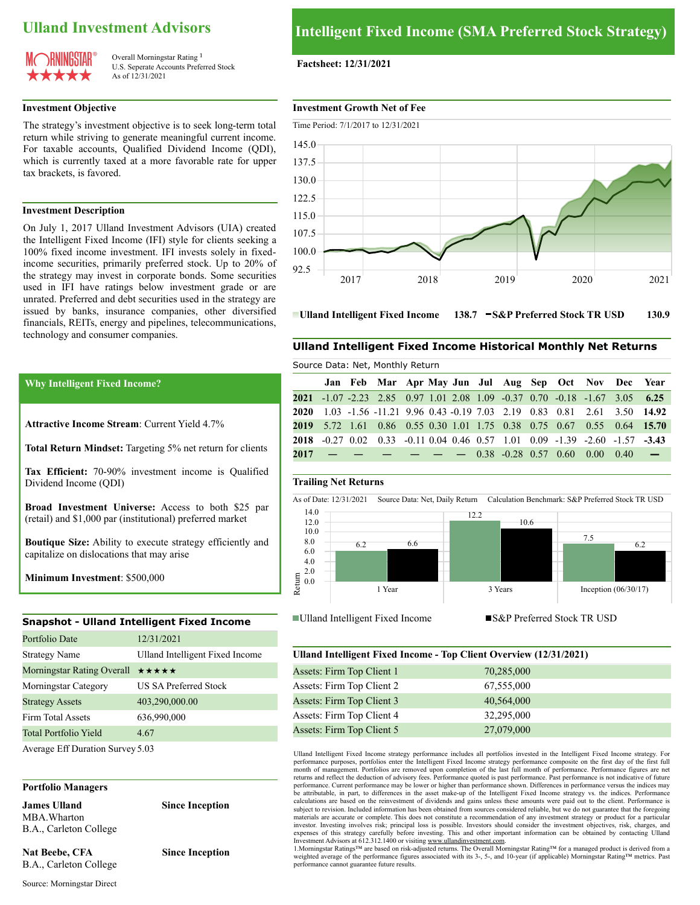# **Ulland Investment Advisors**



Overall Morningstar Rating<sup>1</sup> U.S. Seperate Accounts Preferred Stock As of 12/31/2021

The strategy's investment objective is to seek long-term total return while striving to generate meaningful current income. For taxable accounts, Qualified Dividend Income (QDI), which is currently taxed at a more favorable rate for upper tax brackets, is favored.

#### **Investment Description**

On July 1, 2017 Ulland Investment Advisors (UIA) created the Intelligent Fixed Income (IFI) style for clients seeking a 100% fixed income investment. IFI invests solely in fixedincome securities, primarily preferred stock. Up to 20% of the strategy may invest in corporate bonds. Some securities used in IFI have ratings below investment grade or are unrated. Preferred and debt securities used in the strategy are issued by banks, insurance companies, other diversified financials, REITs, energy and pipelines, telecommunications, technology and consumer companies.

#### **Why Intelligent Fixed Income?**

**Attractive Income Stream**: Current Yield 4.7%

**Total Return Mindset:** Targeting 5% net return for clients

**Tax Efficient:** 70-90% investment income is Qualified Dividend Income (QDI)

**Broad Investment Universe:** Access to both \$25 par (retail) and \$1,000 par (institutional) preferred market

**Boutique Size:** Ability to execute strategy efficiently and capitalize on dislocations that may arise

**Minimum Investment**: \$500,000

#### **Snapshot - Ulland Intelligent Fixed Income**

| Portfolio Date                                             | 12/31/2021                      |
|------------------------------------------------------------|---------------------------------|
| <b>Strategy Name</b>                                       | Ulland Intelligent Fixed Income |
| Morningstar Rating Overall $\star \star \star \star \star$ |                                 |
| Morningstar Category                                       | <b>US SA Preferred Stock</b>    |
| <b>Strategy Assets</b>                                     | 403,290,000.00                  |
| Firm Total Assets                                          | 636,990,000                     |
| Total Portfolio Yield                                      | 4.67                            |
| Average Eff Duration Survey 5.03                           |                                 |

#### **Portfolio Managers**

**James Ulland Since Inception** MBA.Wharton B.A., Carleton College

**Nat Beebe, CFA Since Inception** B.A., Carleton College

#### **Factsheet: 12/31/2021**

#### **Investment Growth Net of Fee**



**Ulland Intelligent Fixed Income** 138.7 **S&P Preferred Stock TR USD** 130.9

#### **Ulland Intelligent Fixed Income Historical Monthly Net Returns**

|  |  | <b>Source Data: Net, Profitmy Retail</b> |  |  |  | Jan Feb Mar Apr May Jun Jul Aug Sep Oct Nov Dec Year<br>2021 -1.07 -2.23 2.85 0.97 1.01 2.08 1.09 -0.37 0.70 -0.18 -1.67 3.05 6.25<br>2020 1.03 -1.56 -11.21 9.96 0.43 -0.19 7.03 2.19 0.83 0.81 2.61 3.50 14.92<br>2019 5.72 1.61 0.86 0.55 0.30 1.01 1.75 0.38 0.75 0.67 0.55 0.64 15.70<br>2018 -0.27 0.02 0.33 -0.11 0.04 0.46 0.57 1.01 0.09 -1.39 -2.60 -1.57 -3.43<br>$2017$ - - - - - 0.38 -0.28 0.57 0.60 0.00 0.40 - |
|--|--|------------------------------------------|--|--|--|--------------------------------------------------------------------------------------------------------------------------------------------------------------------------------------------------------------------------------------------------------------------------------------------------------------------------------------------------------------------------------------------------------------------------------|

#### **Trailing Net Returns**

Source Data: Net, Monthly Return





| Ulland Intelligent Fixed Income - Top Client Overview (12/31/2021) |            |  |  |  |  |
|--------------------------------------------------------------------|------------|--|--|--|--|
| Assets: Firm Top Client 1                                          | 70,285,000 |  |  |  |  |
| Assets: Firm Top Client 2                                          | 67,555,000 |  |  |  |  |
| Assets: Firm Top Client 3                                          | 40,564,000 |  |  |  |  |
| Assets: Firm Top Client 4                                          | 32,295,000 |  |  |  |  |
| Assets: Firm Top Client 5                                          | 27,079,000 |  |  |  |  |

Ulland Intelligent Fixed Income strategy performance includes all portfolios invested in the Intelligent Fixed Income strategy. For performance purposes, portfolios enter the Intelligent Fixed Income strategy performance composite on the first day of the first full<br>month of management. Portfolios are removed upon completion of the last full month of pe returns and reflect the deduction of advisory fees. Performance quoted is past performance. Past performance is not indicative of future performance. Current performance may be lower or higher than performance shown. Differences in performance versus the indices may be attributable, in part, to differences in the asset make-up of the Intelligent Fixed Income strategy vs. the indices. Performance calculations are based on the reinvestment of dividends and gains unless these amounts were paid out to the client. Performance is<br>subject to revision. Included information has been obtained from sources considered reliabl materials are accurate or complete. This does not constitute a recommendation of any investment strategy or product for a particular investor. Investing involves risk; principal loss is possible. Investors should consider the investment objectives, risk, charges, and expenses of this strategy carefully before investing. This and other important information can be obtained by contacting Ulland

Investment Advisors at 612.312.1400 or visiting <u>www.ullandinvestment.com</u>.<br>1.Morningstar Ratings™ are based on risk-adjusted returns. The Overall Morningstar Rating™ for a managed product is derived from a weighted average of the performance figures associated with its 3-, 5-, and 10-year (if applicable) Morningstar Rating™ metrics. Past performance cannot guarantee future results.

Source: Morningstar Direct